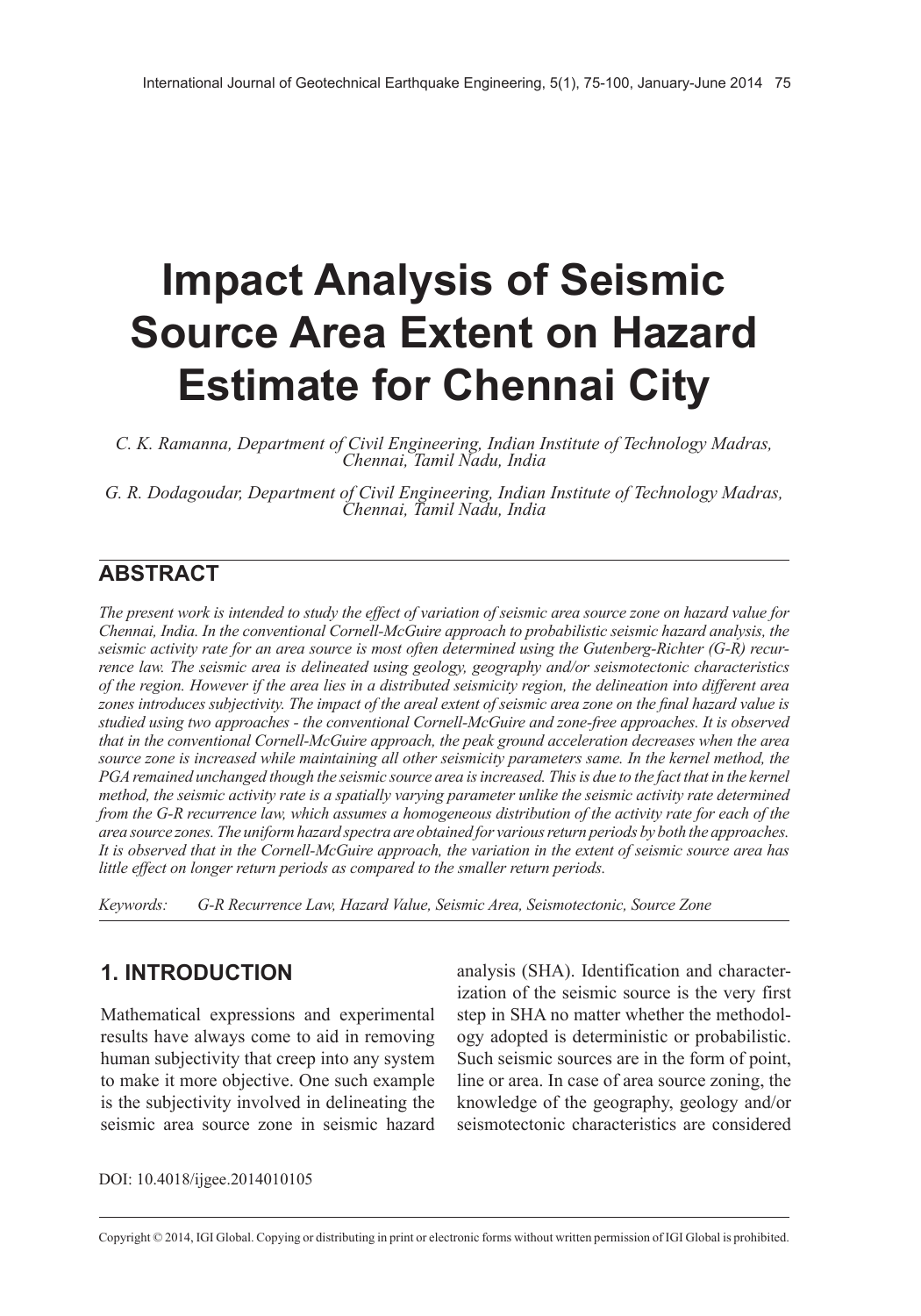# **Impact Analysis of Seismic Source Area Extent on Hazard Estimate for Chennai City**

*C. K. Ramanna, Department of Civil Engineering, Indian Institute of Technology Madras, Chennai, Tamil Nadu, India*

*G. R. Dodagoudar, Department of Civil Engineering, Indian Institute of Technology Madras, Chennai, Tamil Nadu, India*

## **ABSTRACT**

*The present work is intended to study the effect of variation of seismic area source zone on hazard value for Chennai, India. In the conventional Cornell-McGuire approach to probabilistic seismic hazard analysis, the seismic activity rate for an area source is most often determined using the Gutenberg-Richter (G-R) recurrence law. The seismic area is delineated using geology, geography and/or seismotectonic characteristics of the region. However if the area lies in a distributed seismicity region, the delineation into different area zones introduces subjectivity. The impact of the areal extent of seismic area zone on the final hazard value is studied using two approaches - the conventional Cornell-McGuire and zone-free approaches. It is observed that in the conventional Cornell-McGuire approach, the peak ground acceleration decreases when the area*  source zone is increased while maintaining all other seismicity parameters same. In the kernel method, the *PGA remained unchanged though the seismic source area is increased. This is due to the fact that in the kernel method, the seismic activity rate is a spatially varying parameter unlike the seismic activity rate determined from the G-R recurrence law, which assumes a homogeneous distribution of the activity rate for each of the area source zones. The uniform hazard spectra are obtained for various return periods by both the approaches. It is observed that in the Cornell-McGuire approach, the variation in the extent of seismic source area has little effect on longer return periods as compared to the smaller return periods.*

*Keywords: G-R Recurrence Law, Hazard Value, Seismic Area, Seismotectonic, Source Zone*

## **1. INTRODUCTION**

Mathematical expressions and experimental results have always come to aid in removing human subjectivity that creep into any system to make it more objective. One such example is the subjectivity involved in delineating the seismic area source zone in seismic hazard

analysis (SHA). Identification and characterization of the seismic source is the very first step in SHA no matter whether the methodology adopted is deterministic or probabilistic. Such seismic sources are in the form of point, line or area. In case of area source zoning, the knowledge of the geography, geology and/or seismotectonic characteristics are considered

DOI: 10.4018/ijgee.2014010105

Copyright © 2014, IGI Global. Copying or distributing in print or electronic forms without written permission of IGI Global is prohibited.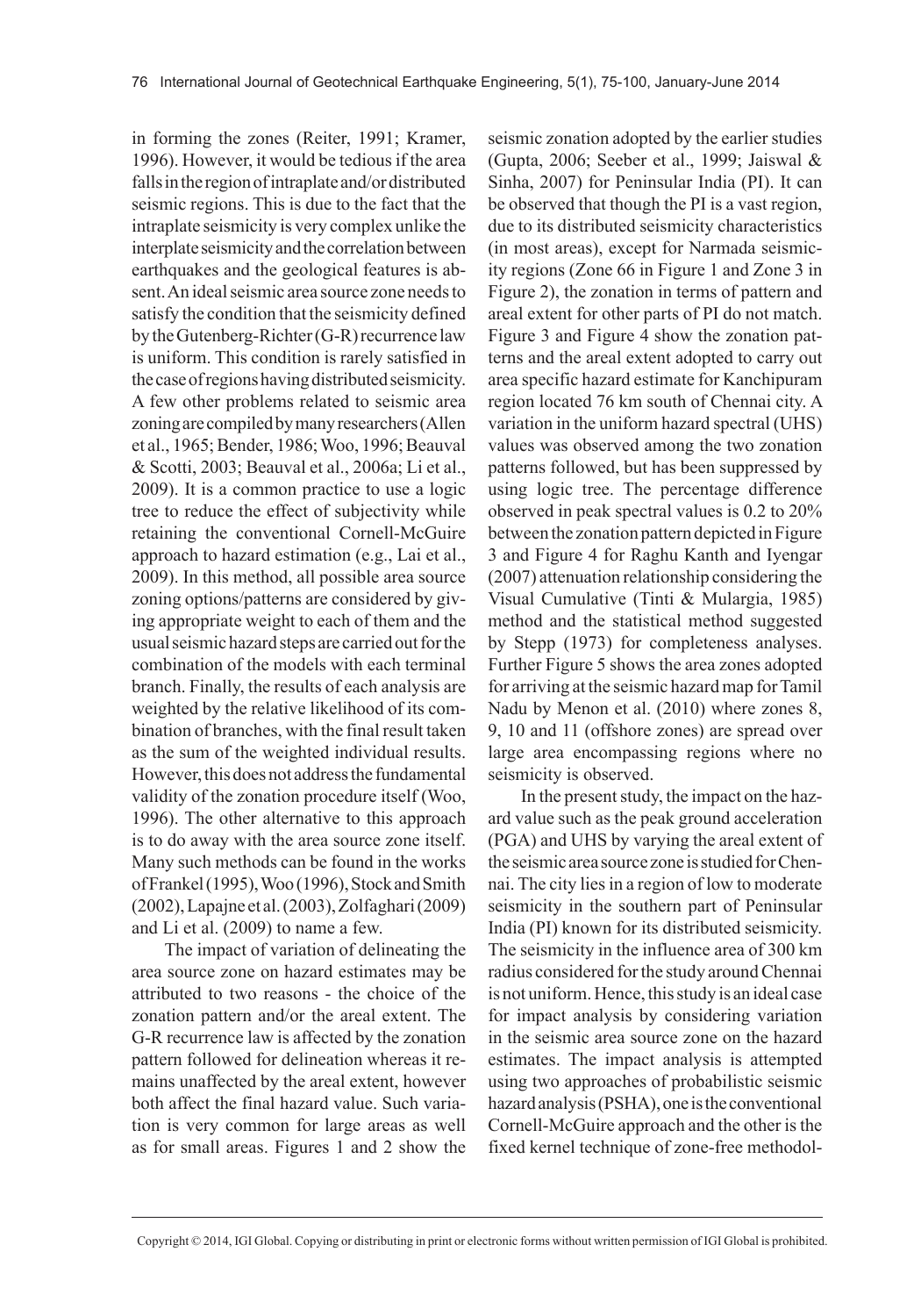in forming the zones (Reiter, 1991; Kramer, 1996). However, it would be tedious if the area falls in the region of intraplate and/or distributed seismic regions. This is due to the fact that the intraplate seismicity is very complex unlike the interplate seismicity and the correlation between earthquakes and the geological features is absent. An ideal seismic area source zone needs to satisfy the condition that the seismicity defined by the Gutenberg-Richter (G-R) recurrence law is uniform. This condition is rarely satisfied in the case of regions having distributed seismicity. A few other problems related to seismic area zoning are compiled by many researchers (Allen et al., 1965; Bender, 1986; Woo, 1996; Beauval & Scotti, 2003; Beauval et al., 2006a; Li et al., 2009). It is a common practice to use a logic tree to reduce the effect of subjectivity while retaining the conventional Cornell-McGuire approach to hazard estimation (e.g., Lai et al., 2009). In this method, all possible area source zoning options/patterns are considered by giving appropriate weight to each of them and the usual seismic hazard steps are carried out for the combination of the models with each terminal branch. Finally, the results of each analysis are weighted by the relative likelihood of its combination of branches, with the final result taken as the sum of the weighted individual results. However, this does not address the fundamental validity of the zonation procedure itself (Woo, 1996). The other alternative to this approach is to do away with the area source zone itself. Many such methods can be found in the works of Frankel (1995), Woo (1996), Stock and Smith (2002), Lapajne et al. (2003), Zolfaghari (2009) and Li et al. (2009) to name a few.

The impact of variation of delineating the area source zone on hazard estimates may be attributed to two reasons - the choice of the zonation pattern and/or the areal extent. The G-R recurrence law is affected by the zonation pattern followed for delineation whereas it remains unaffected by the areal extent, however both affect the final hazard value. Such variation is very common for large areas as well as for small areas. Figures 1 and 2 show the seismic zonation adopted by the earlier studies (Gupta, 2006; Seeber et al., 1999; Jaiswal & Sinha, 2007) for Peninsular India (PI). It can be observed that though the PI is a vast region, due to its distributed seismicity characteristics (in most areas), except for Narmada seismicity regions (Zone 66 in Figure 1 and Zone 3 in Figure 2), the zonation in terms of pattern and areal extent for other parts of PI do not match. Figure 3 and Figure 4 show the zonation patterns and the areal extent adopted to carry out area specific hazard estimate for Kanchipuram region located 76 km south of Chennai city. A variation in the uniform hazard spectral (UHS) values was observed among the two zonation patterns followed, but has been suppressed by using logic tree. The percentage difference observed in peak spectral values is 0.2 to 20% between the zonation pattern depicted in Figure 3 and Figure 4 for Raghu Kanth and Iyengar (2007) attenuation relationship considering the Visual Cumulative (Tinti & Mulargia, 1985) method and the statistical method suggested by Stepp (1973) for completeness analyses. Further Figure 5 shows the area zones adopted for arriving at the seismic hazard map for Tamil Nadu by Menon et al. (2010) where zones 8, 9, 10 and 11 (offshore zones) are spread over large area encompassing regions where no seismicity is observed.

In the present study, the impact on the hazard value such as the peak ground acceleration (PGA) and UHS by varying the areal extent of the seismic area source zone is studied for Chennai. The city lies in a region of low to moderate seismicity in the southern part of Peninsular India (PI) known for its distributed seismicity. The seismicity in the influence area of 300 km radius considered for the study around Chennai is not uniform. Hence, this study is an ideal case for impact analysis by considering variation in the seismic area source zone on the hazard estimates. The impact analysis is attempted using two approaches of probabilistic seismic hazard analysis (PSHA), one is the conventional Cornell-McGuire approach and the other is the fixed kernel technique of zone-free methodol-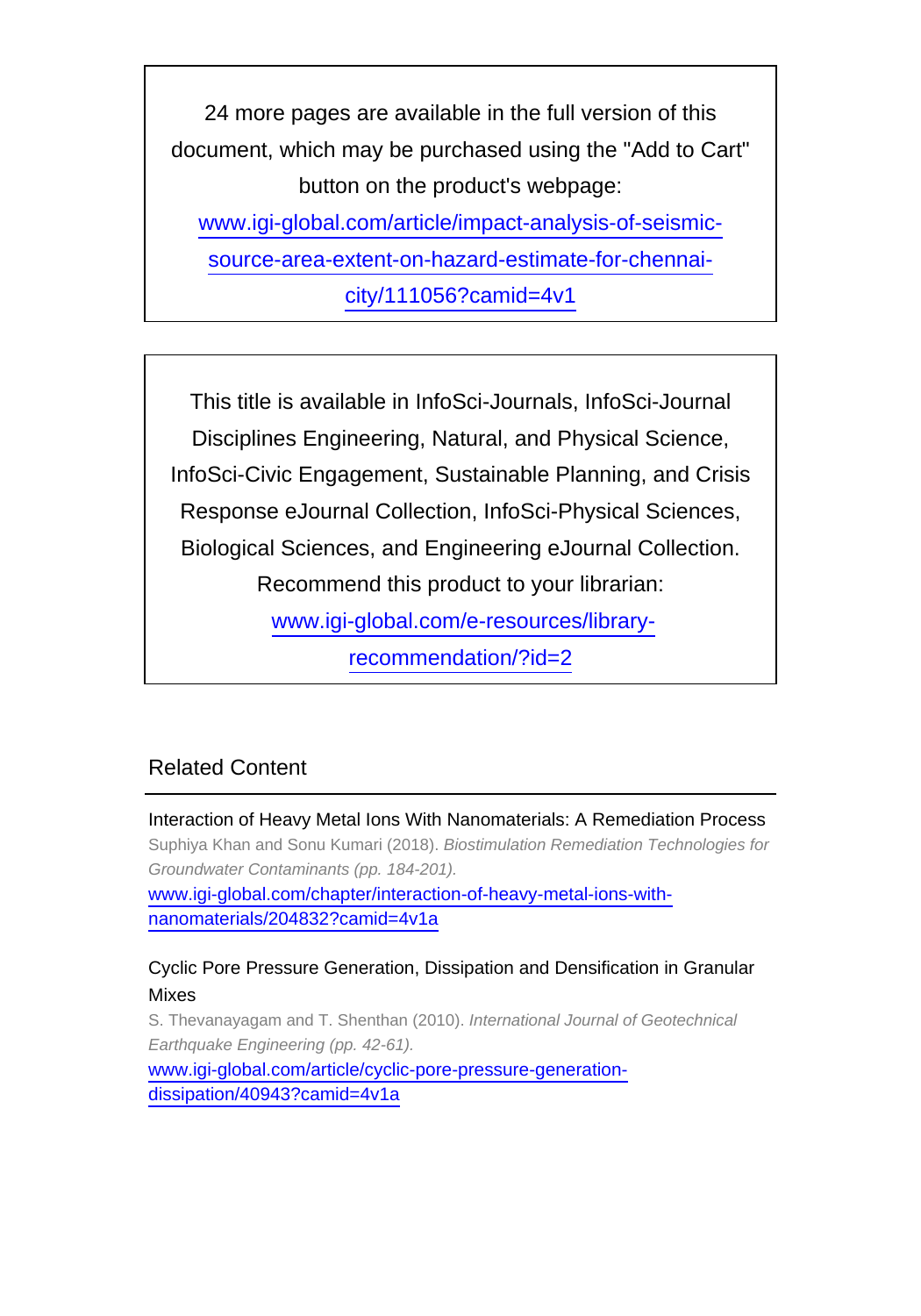24 more pages are available in the full version of this document, which may be purchased using the "Add to Cart" button on the product's webpage: [www.igi-global.com/article/impact-analysis-of-seismic](http://www.igi-global.com/article/impact-analysis-of-seismic-source-area-extent-on-hazard-estimate-for-chennai-city/111056?camid=4v1)[source-area-extent-on-hazard-estimate-for-chennai-](http://www.igi-global.com/article/impact-analysis-of-seismic-source-area-extent-on-hazard-estimate-for-chennai-city/111056?camid=4v1)

[city/111056?camid=4v1](http://www.igi-global.com/article/impact-analysis-of-seismic-source-area-extent-on-hazard-estimate-for-chennai-city/111056?camid=4v1)

This title is available in InfoSci-Journals, InfoSci-Journal Disciplines Engineering, Natural, and Physical Science, InfoSci-Civic Engagement, Sustainable Planning, and Crisis Response eJournal Collection, InfoSci-Physical Sciences, Biological Sciences, and Engineering eJournal Collection. Recommend this product to your librarian: [www.igi-global.com/e-resources/library-](http://www.igi-global.com/e-resources/library-recommendation/?id=2)

[recommendation/?id=2](http://www.igi-global.com/e-resources/library-recommendation/?id=2)

# Related Content

Interaction of Heavy Metal Ions With Nanomaterials: A Remediation Process Suphiya Khan and Sonu Kumari (2018). Biostimulation Remediation Technologies for Groundwater Contaminants (pp. 184-201). [www.igi-global.com/chapter/interaction-of-heavy-metal-ions-with](http://www.igi-global.com/chapter/interaction-of-heavy-metal-ions-with-nanomaterials/204832?camid=4v1a)[nanomaterials/204832?camid=4v1a](http://www.igi-global.com/chapter/interaction-of-heavy-metal-ions-with-nanomaterials/204832?camid=4v1a)

### Cyclic Pore Pressure Generation, Dissipation and Densification in Granular Mixes

S. Thevanayagam and T. Shenthan (2010). International Journal of Geotechnical Earthquake Engineering (pp. 42-61). [www.igi-global.com/article/cyclic-pore-pressure-generation](http://www.igi-global.com/article/cyclic-pore-pressure-generation-dissipation/40943?camid=4v1a)[dissipation/40943?camid=4v1a](http://www.igi-global.com/article/cyclic-pore-pressure-generation-dissipation/40943?camid=4v1a)